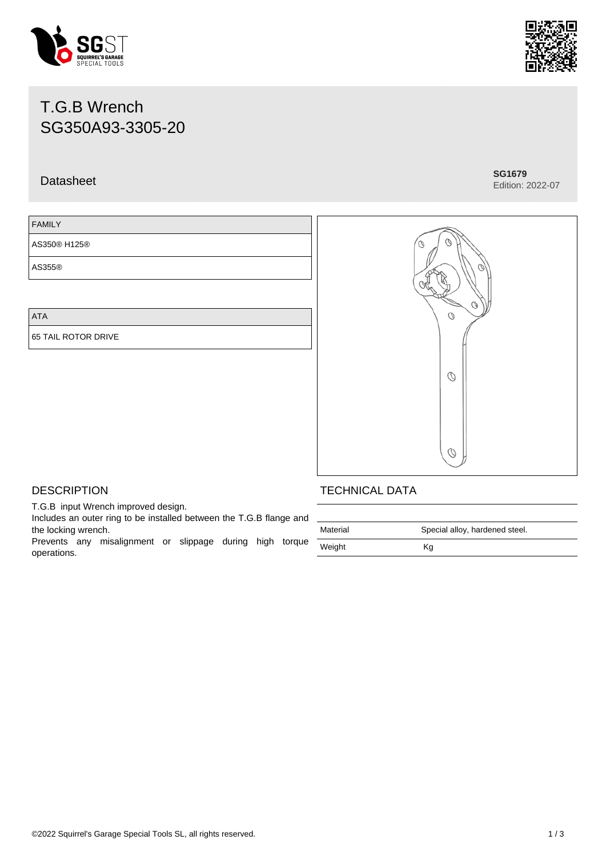#### ©2022 Squirrel's Garage Special Tools SL, all rights reserved. 1 / 3

# T.G.B Wrench SG350A93-3305-20

# Datasheet **SG1679**

### FAMILY

AS350® H125®

AS355®

### ATA

65 TAIL ROTOR DRIVE

## **DESCRIPTION**

T.G.B input Wrench improved design.

Includes an outer ring to be installed between the T.G.B flange and the locking wrench.

Prevents any misalignment or slippage during high torque operations.

## TECHNICAL DATA

| Material | Special alloy, hardened steel. |  |
|----------|--------------------------------|--|
| Weight   | Κg                             |  |

 $\sigma$ 

Ō





Edition: 2022-07

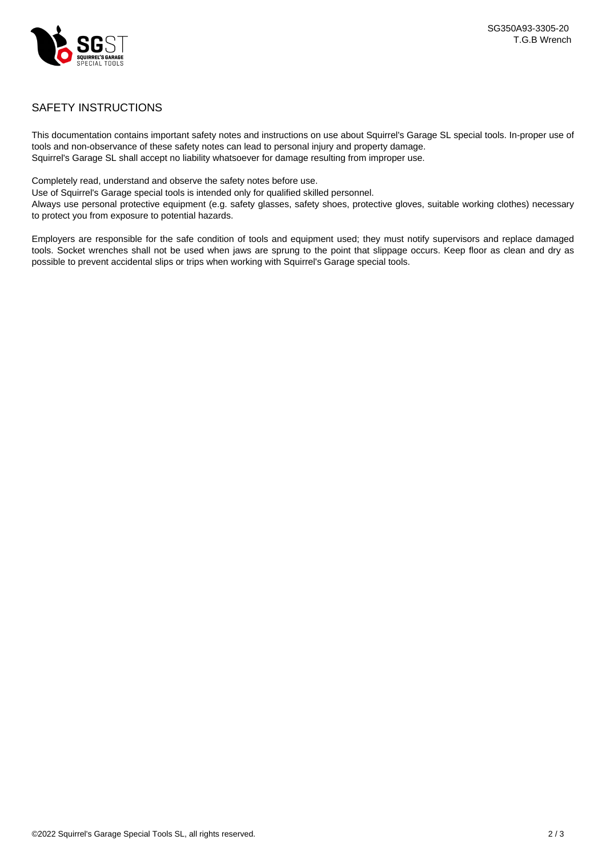

### SAFETY INSTRUCTIONS

This documentation contains important safety notes and instructions on use about Squirrel's Garage SL special tools. In-proper use of tools and non-observance of these safety notes can lead to personal injury and property damage. Squirrel's Garage SL shall accept no liability whatsoever for damage resulting from improper use.

Completely read, understand and observe the safety notes before use.

Use of Squirrel's Garage special tools is intended only for qualified skilled personnel.

Always use personal protective equipment (e.g. safety glasses, safety shoes, protective gloves, suitable working clothes) necessary to protect you from exposure to potential hazards.

Employers are responsible for the safe condition of tools and equipment used; they must notify supervisors and replace damaged tools. Socket wrenches shall not be used when jaws are sprung to the point that slippage occurs. Keep floor as clean and dry as possible to prevent accidental slips or trips when working with Squirrel's Garage special tools.